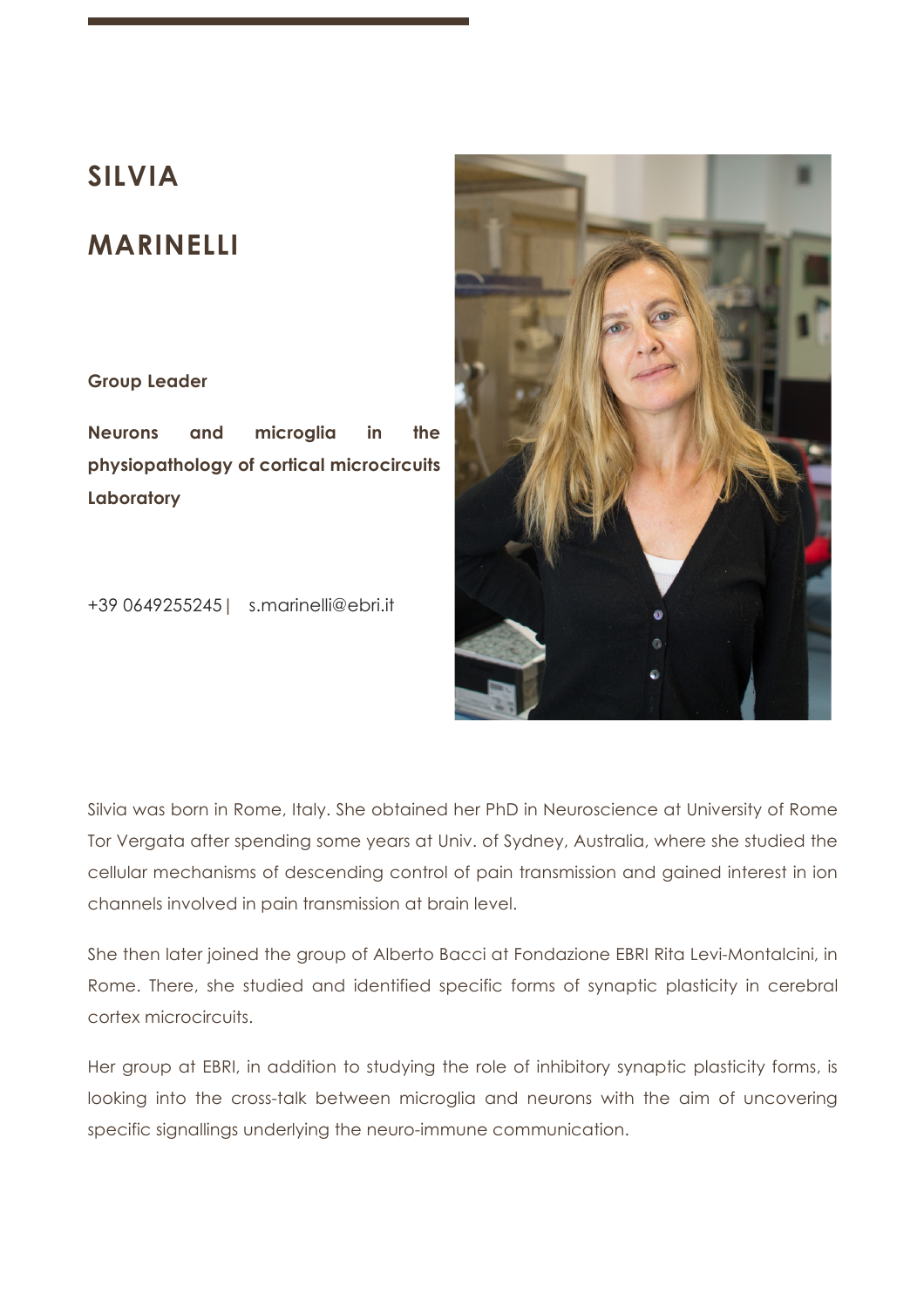# **SILVIA**

# **MARINELLI**

## **Group Leader**

**Neurons and microglia in the physiopathology of cortical microcircuits Laboratory**

+39 0649255245| s.marinelli@ebri.it



Silvia was born in Rome, Italy. She obtained her PhD in Neuroscience at University of Rome Tor Vergata after spending some years at Univ. of Sydney, Australia, where she studied the cellular mechanisms of descending control of pain transmission and gained interest in ion channels involved in pain transmission at brain level.

She then later joined the group of Alberto Bacci at Fondazione EBRI Rita Levi-Montalcini, in Rome. There, she studied and identified specific forms of synaptic plasticity in cerebral cortex microcircuits.

Her group at EBRI, in addition to studying the role of inhibitory synaptic plasticity forms, is looking into the cross-talk between microglia and neurons with the aim of uncovering specific signallings underlying the neuro-immune communication.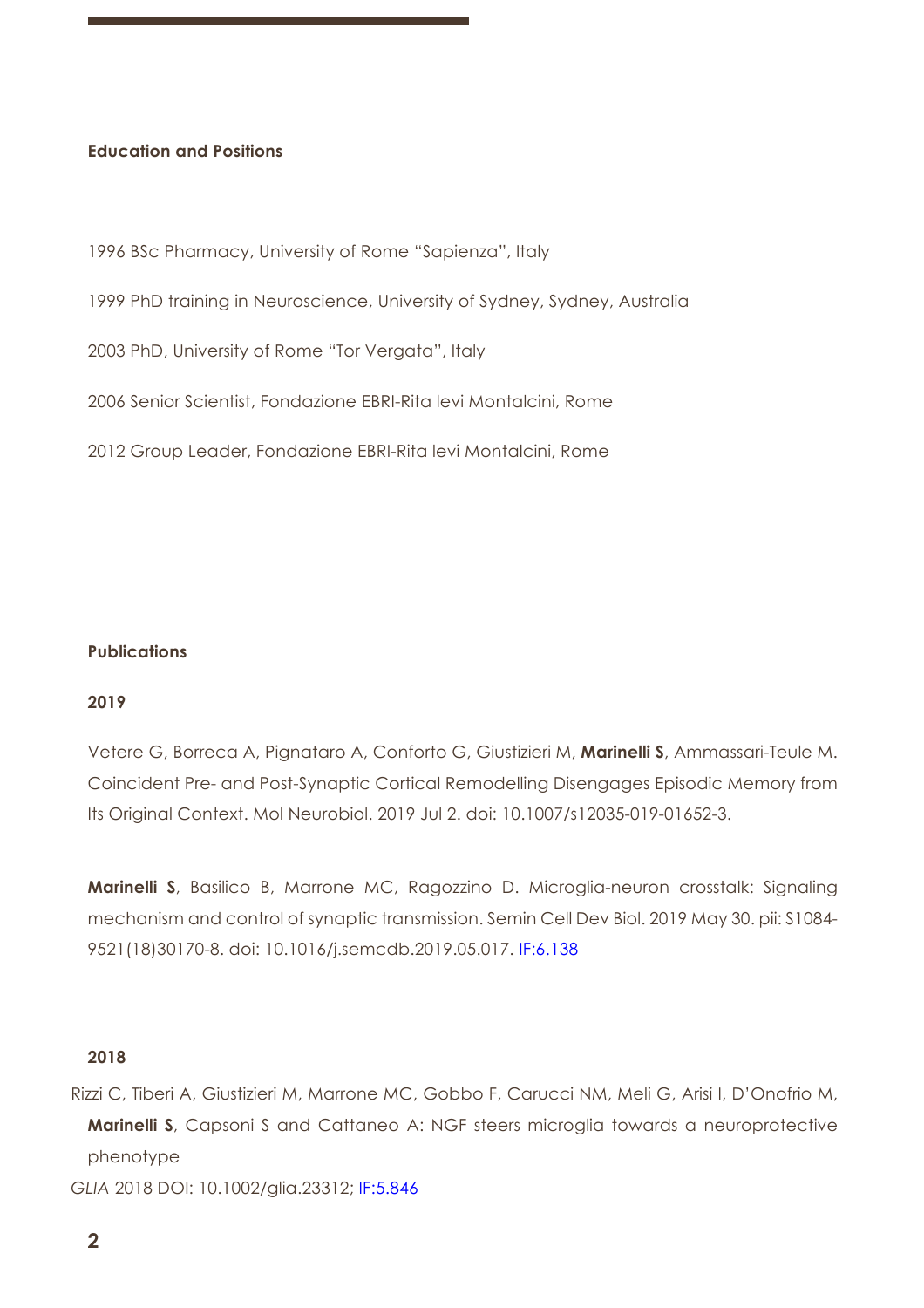## **Education and Positions**

1996 BSc Pharmacy, University of Rome "Sapienza", Italy

1999 PhD training in Neuroscience, University of Sydney, Sydney, Australia

2003 PhD, University of Rome "Tor Vergata", Italy

2006 Senior Scientist, Fondazione EBRI-Rita levi Montalcini, Rome

2012 Group Leader, Fondazione EBRI-Rita levi Montalcini, Rome

## **Publications**

## **2019**

Vetere G, Borreca A, Pignataro A, Conforto G, Giustizieri M, **Marinelli S**, Ammassari-Teule M. Coincident Pre- and Post-Synaptic Cortical Remodelling Disengages Episodic Memory from Its Original Context. Mol Neurobiol. 2019 Jul 2. doi: 10.1007/s12035-019-01652-3.

**Marinelli S**, Basilico B, Marrone MC, Ragozzino D. Microglia-neuron crosstalk: Signaling mechanism and control of synaptic transmission. Semin Cell Dev Biol. 2019 May 30. pii: S1084- 9521(18)30170-8. doi: 10.1016/j.semcdb.2019.05.017. IF:6.138

#### **2018**

Rizzi C, Tiberi A, Giustizieri M, Marrone MC, Gobbo F, Carucci NM, Meli G, Arisi I, D'Onofrio M, **Marinelli S**, Capsoni S and Cattaneo A: NGF steers microglia towards a neuroprotective phenotype

*GLIA* 2018 DOI: 10.1002/glia.23312; IF:5.846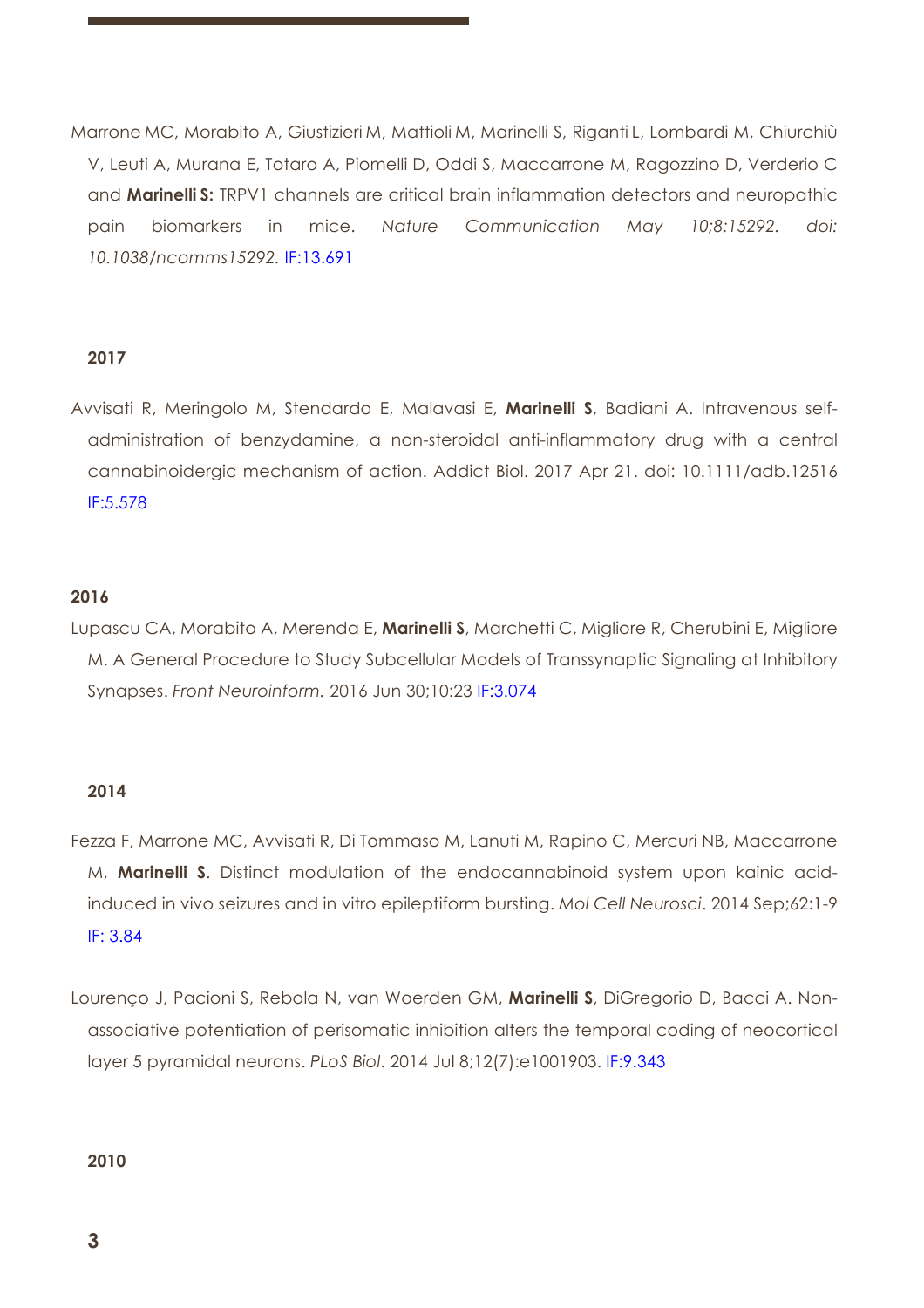Marrone MC, Morabito A, Giustizieri M, Mattioli M, Marinelli S, Riganti L, Lombardi M, Chiurchiù V, Leuti A, Murana E, Totaro A, Piomelli D, Oddi S, Maccarrone M, Ragozzino D, Verderio C and **Marinelli S:** TRPV1 channels are critical brain inflammation detectors and neuropathic pain biomarkers in mice. *Nature Communication May 10;8:15292. doi: 10.1038/ncomms15292.* IF:13.691

## **2017**

Avvisati R, Meringolo M, Stendardo E, Malavasi E, **Marinelli S**, Badiani A. Intravenous selfadministration of benzydamine, a non-steroidal anti-inflammatory drug with a central cannabinoidergic mechanism of action. Addict Biol. 2017 Apr 21. doi: 10.1111/adb.12516 IF:5.578

## **2016**

Lupascu CA, Morabito A, Merenda E, **Marinelli S**, Marchetti C, Migliore R, Cherubini E, Migliore M. A General Procedure to Study Subcellular Models of Transsynaptic Signaling at Inhibitory Synapses. *Front Neuroinform.* 2016 Jun 30;10:23 IF:3.074

## **2014**

- Fezza F, Marrone MC, Avvisati R, Di Tommaso M, Lanuti M, Rapino C, Mercuri NB, Maccarrone M, **Marinelli S**. Distinct modulation of the endocannabinoid system upon kainic acidinduced in vivo seizures and in vitro epileptiform bursting. *Mol Cell Neurosci*. 2014 Sep;62:1-9 IF: 3.84
- Lourenço J, Pacioni S, Rebola N, van Woerden GM, **Marinelli S**, DiGregorio D, Bacci A. Nonassociative potentiation of perisomatic inhibition alters the temporal coding of neocortical layer 5 pyramidal neurons. *PLoS Biol*. 2014 Jul 8;12(7):e1001903. IF:9.343

#### **2010**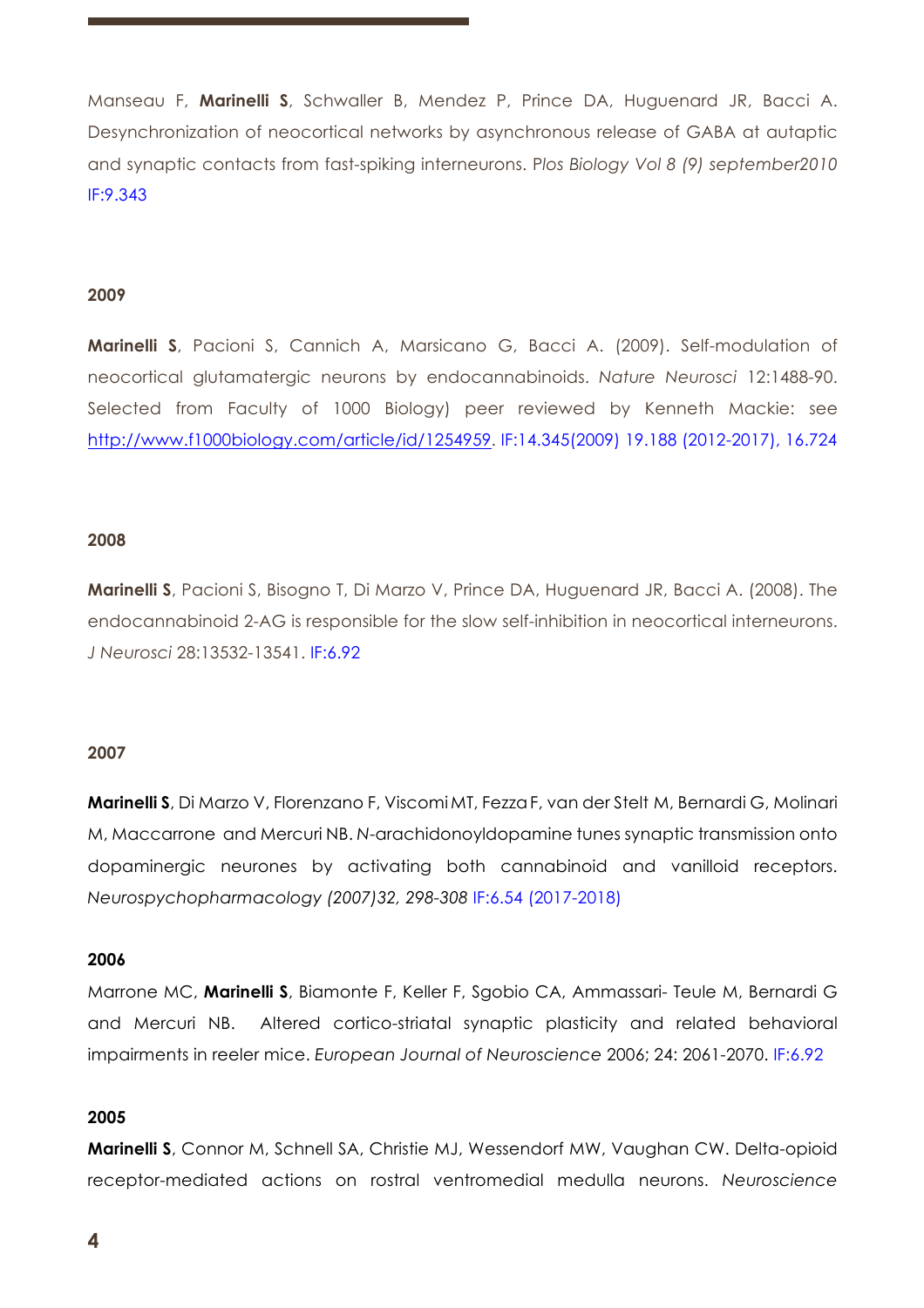Manseau F, **Marinelli S**, Schwaller B, Mendez P, Prince DA, Huguenard JR, Bacci A. Desynchronization of neocortical networks by asynchronous release of GABA at autaptic and synaptic contacts from fast-spiking interneurons. P*los Biology Vol 8 (9) september2010*  IF:9.343

## **2009**

**Marinelli S**, Pacioni S, Cannich A, Marsicano G, Bacci A. (2009). Self-modulation of neocortical glutamatergic neurons by endocannabinoids. *Nature Neurosci* 12:1488-90. Selected from Faculty of 1000 Biology) peer reviewed by Kenneth Mackie: see http://www.f1000biology.com/article/id/1254959. IF:14.345(2009) 19.188 (2012-2017), 16.724

## **2008**

**Marinelli S**, Pacioni S, Bisogno T, Di Marzo V, Prince DA, Huguenard JR, Bacci A. (2008). The endocannabinoid 2-AG is responsible for the slow self-inhibition in neocortical interneurons. *J Neurosci* 28:13532-13541. IF:6.92

#### **2007**

**Marinelli S**, Di Marzo V, Florenzano F, ViscomiMT, FezzaF, van der Stelt M, Bernardi G, Molinari M, Maccarrone and Mercuri NB. *N*-arachidonoyldopamine tunes synaptic transmission onto dopaminergic neurones by activating both cannabinoid and vanilloid receptors. *Neurospychopharmacology (2007)32, 298-308* IF:6.54 (2017-2018)

## **2006**

Marrone MC, **Marinelli S**, Biamonte F, Keller F, Sgobio CA, Ammassari- Teule M, Bernardi G and Mercuri NB. Altered cortico-striatal synaptic plasticity and related behavioral impairments in reeler mice. *European Journal of Neuroscience* 2006; 24: 2061-2070. IF:6.92

## **2005**

**Marinelli S**, Connor M, Schnell SA, Christie MJ, Wessendorf MW, Vaughan CW. Delta-opioid receptor-mediated actions on rostral ventromedial medulla neurons. *Neuroscience*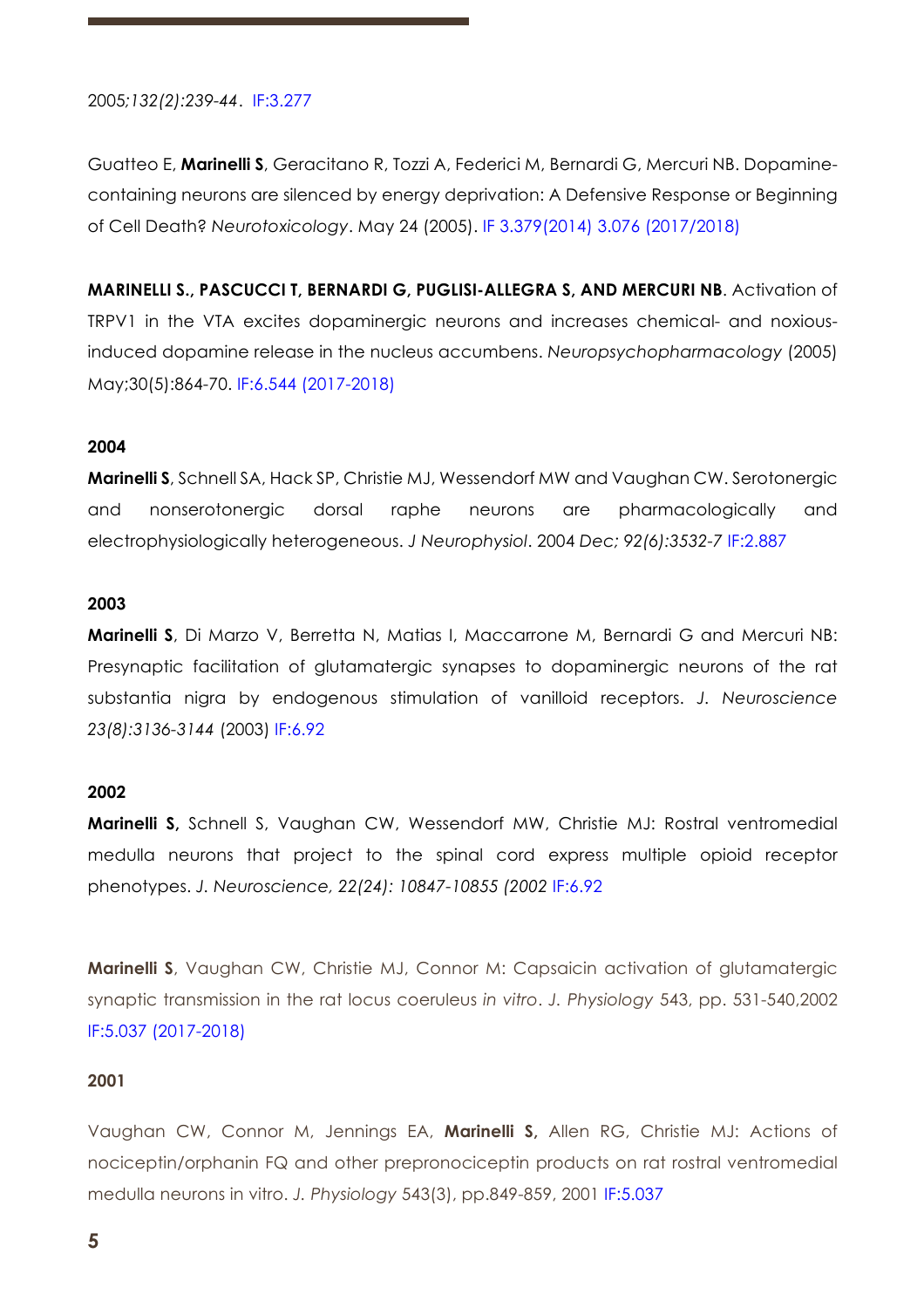## 2005*;132(2):239-44*. IF:3.277

Guatteo E, **Marinelli S**, Geracitano R, Tozzi A, Federici M, Bernardi G, Mercuri NB. Dopaminecontaining neurons are silenced by energy deprivation: A Defensive Response or Beginning of Cell Death? *Neurotoxicology*. May 24 (2005). IF 3.379(2014) 3.076 (2017/2018)

**MARINELLI S., PASCUCCI T, BERNARDI G, PUGLISI-ALLEGRA S, AND MERCURI NB**. Activation of TRPV1 in the VTA excites dopaminergic neurons and increases chemical- and noxiousinduced dopamine release in the nucleus accumbens. *Neuropsychopharmacology* (2005) May;30(5):864-70. IF:6.544 (2017-2018)

## **2004**

**Marinelli S**, Schnell SA, Hack SP, Christie MJ, Wessendorf MW and Vaughan CW. Serotonergic and nonserotonergic dorsal raphe neurons are pharmacologically and electrophysiologically heterogeneous. *J Neurophysiol*. 2004 *Dec; 92(6):3532-7* IF:2.887

#### **2003**

**Marinelli S**, Di Marzo V, Berretta N, Matias I, Maccarrone M, Bernardi G and Mercuri NB: Presynaptic facilitation of glutamatergic synapses to dopaminergic neurons of the rat substantia nigra by endogenous stimulation of vanilloid receptors. *J. Neuroscience 23(8):3136-3144* (2003) IF:6.92

## **2002**

**Marinelli S,** Schnell S, Vaughan CW, Wessendorf MW, Christie MJ: Rostral ventromedial medulla neurons that project to the spinal cord express multiple opioid receptor phenotypes. *J. Neuroscience, 22(24): 10847-10855 (2002* IF:6.92

**Marinelli S**, Vaughan CW, Christie MJ, Connor M: Capsaicin activation of glutamatergic synaptic transmission in the rat locus coeruleus *in vitro*. *J. Physiology* 543, pp. 531-540,2002 IF:5.037 (2017-2018)

#### **2001**

Vaughan CW, Connor M, Jennings EA, **Marinelli S,** Allen RG, Christie MJ: Actions of nociceptin/orphanin FQ and other prepronociceptin products on rat rostral ventromedial medulla neurons in vitro. *J. Physiology* 543(3), pp.849-859, 2001 IF:5.037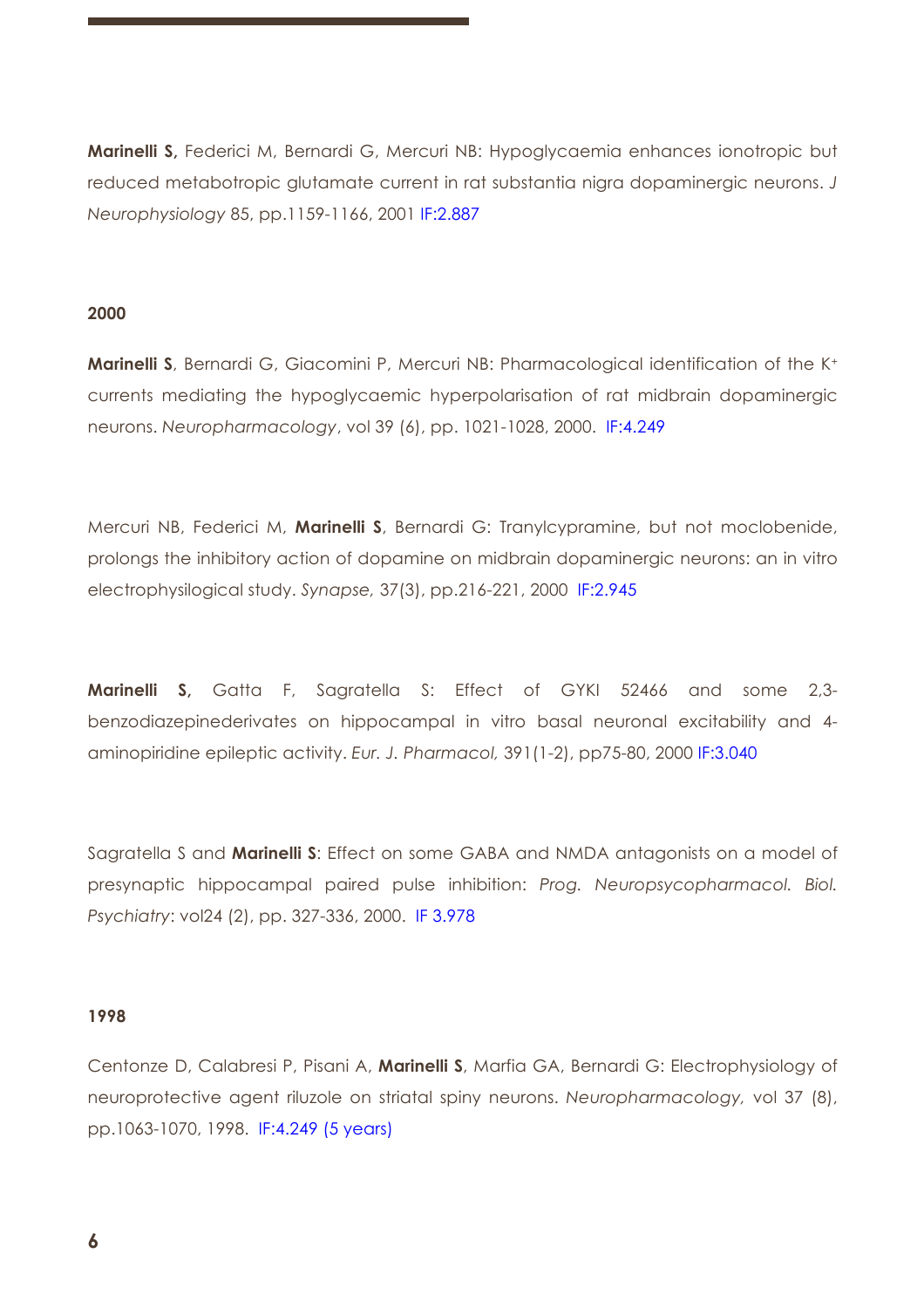**Marinelli S,** Federici M, Bernardi G, Mercuri NB: Hypoglycaemia enhances ionotropic but reduced metabotropic glutamate current in rat substantia nigra dopaminergic neurons. *J Neurophysiology* 85, pp.1159-1166, 2001 IF:2.887

## **2000**

**Marinelli S**, Bernardi G, Giacomini P, Mercuri NB: Pharmacological identification of the K<sup>+</sup> currents mediating the hypoglycaemic hyperpolarisation of rat midbrain dopaminergic neurons. *Neuropharmacology*, vol 39 (6), pp. 1021-1028, 2000. IF:4.249

Mercuri NB, Federici M, **Marinelli S**, Bernardi G: Tranylcypramine, but not moclobenide, prolongs the inhibitory action of dopamine on midbrain dopaminergic neurons: an in vitro electrophysilogical study. *Synapse,* 37(3), pp.216-221, 2000 IF:2.945

**Marinelli S,** Gatta F, Sagratella S: Effect of GYKI 52466 and some 2,3 benzodiazepinederivates on hippocampal in vitro basal neuronal excitability and 4 aminopiridine epileptic activity. *Eur. J. Pharmacol,* 391(1-2), pp75-80, 2000 IF:3.040

Sagratella S and **Marinelli S**: Effect on some GABA and NMDA antagonists on a model of presynaptic hippocampal paired pulse inhibition: *Prog. Neuropsycopharmacol. Biol. Psychiatry*: vol24 (2), pp. 327-336, 2000. IF 3.978

## **1998**

Centonze D, Calabresi P, Pisani A, **Marinelli S**, Marfia GA, Bernardi G: Electrophysiology of neuroprotective agent riluzole on striatal spiny neurons. *Neuropharmacology,* vol 37 (8), pp.1063-1070, 1998. IF:4.249 (5 years)